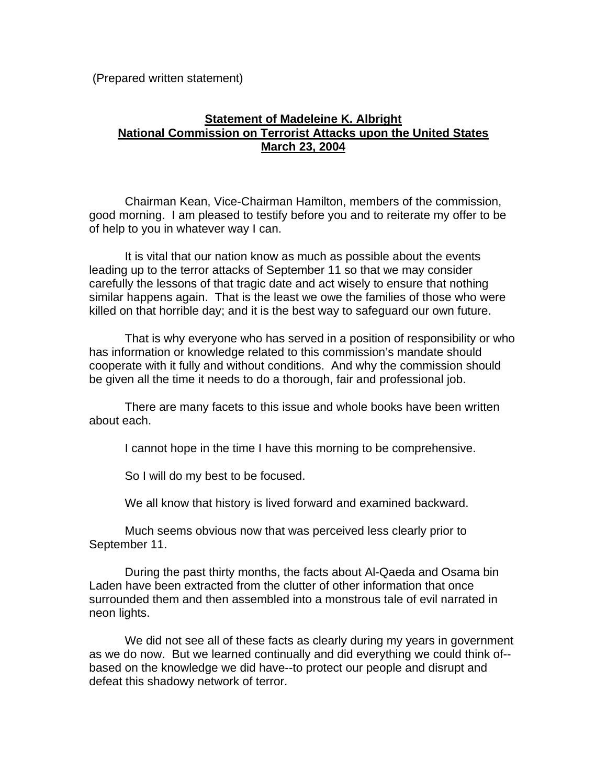(Prepared written statement)

# **Statement of Madeleine K. Albright National Commission on Terrorist Attacks upon the United States March 23, 2004**

Chairman Kean, Vice-Chairman Hamilton, members of the commission, good morning. I am pleased to testify before you and to reiterate my offer to be of help to you in whatever way I can.

It is vital that our nation know as much as possible about the events leading up to the terror attacks of September 11 so that we may consider carefully the lessons of that tragic date and act wisely to ensure that nothing similar happens again. That is the least we owe the families of those who were killed on that horrible day; and it is the best way to safeguard our own future.

That is why everyone who has served in a position of responsibility or who has information or knowledge related to this commission's mandate should cooperate with it fully and without conditions. And why the commission should be given all the time it needs to do a thorough, fair and professional job.

There are many facets to this issue and whole books have been written about each.

I cannot hope in the time I have this morning to be comprehensive.

So I will do my best to be focused.

We all know that history is lived forward and examined backward.

Much seems obvious now that was perceived less clearly prior to September 11.

During the past thirty months, the facts about Al-Qaeda and Osama bin Laden have been extracted from the clutter of other information that once surrounded them and then assembled into a monstrous tale of evil narrated in neon lights.

We did not see all of these facts as clearly during my years in government as we do now. But we learned continually and did everything we could think of- based on the knowledge we did have--to protect our people and disrupt and defeat this shadowy network of terror.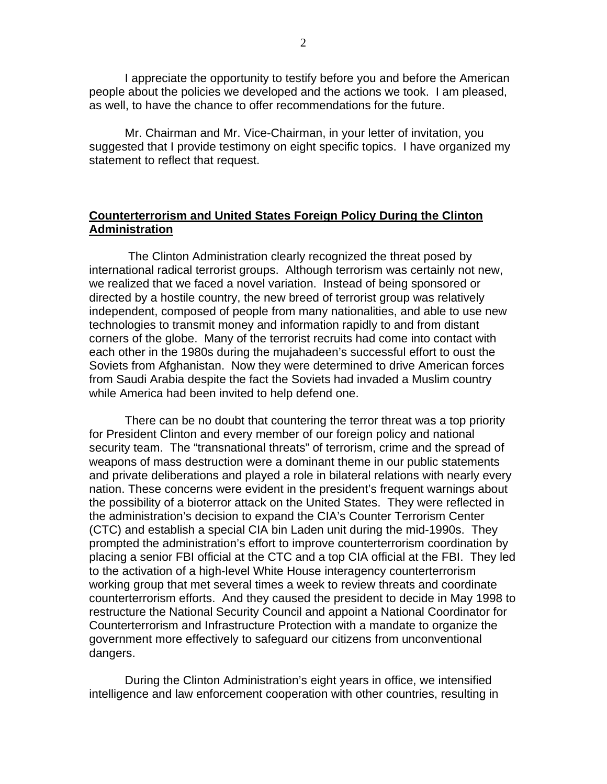I appreciate the opportunity to testify before you and before the American people about the policies we developed and the actions we took. I am pleased, as well, to have the chance to offer recommendations for the future.

Mr. Chairman and Mr. Vice-Chairman, in your letter of invitation, you suggested that I provide testimony on eight specific topics. I have organized my statement to reflect that request.

# **Counterterrorism and United States Foreign Policy During the Clinton Administration**

 The Clinton Administration clearly recognized the threat posed by international radical terrorist groups. Although terrorism was certainly not new, we realized that we faced a novel variation. Instead of being sponsored or directed by a hostile country, the new breed of terrorist group was relatively independent, composed of people from many nationalities, and able to use new technologies to transmit money and information rapidly to and from distant corners of the globe. Many of the terrorist recruits had come into contact with each other in the 1980s during the mujahadeen's successful effort to oust the Soviets from Afghanistan. Now they were determined to drive American forces from Saudi Arabia despite the fact the Soviets had invaded a Muslim country while America had been invited to help defend one.

There can be no doubt that countering the terror threat was a top priority for President Clinton and every member of our foreign policy and national security team. The "transnational threats" of terrorism, crime and the spread of weapons of mass destruction were a dominant theme in our public statements and private deliberations and played a role in bilateral relations with nearly every nation. These concerns were evident in the president's frequent warnings about the possibility of a bioterror attack on the United States. They were reflected in the administration's decision to expand the CIA's Counter Terrorism Center (CTC) and establish a special CIA bin Laden unit during the mid-1990s. They prompted the administration's effort to improve counterterrorism coordination by placing a senior FBI official at the CTC and a top CIA official at the FBI. They led to the activation of a high-level White House interagency counterterrorism working group that met several times a week to review threats and coordinate counterterrorism efforts. And they caused the president to decide in May 1998 to restructure the National Security Council and appoint a National Coordinator for Counterterrorism and Infrastructure Protection with a mandate to organize the government more effectively to safeguard our citizens from unconventional dangers.

During the Clinton Administration's eight years in office, we intensified intelligence and law enforcement cooperation with other countries, resulting in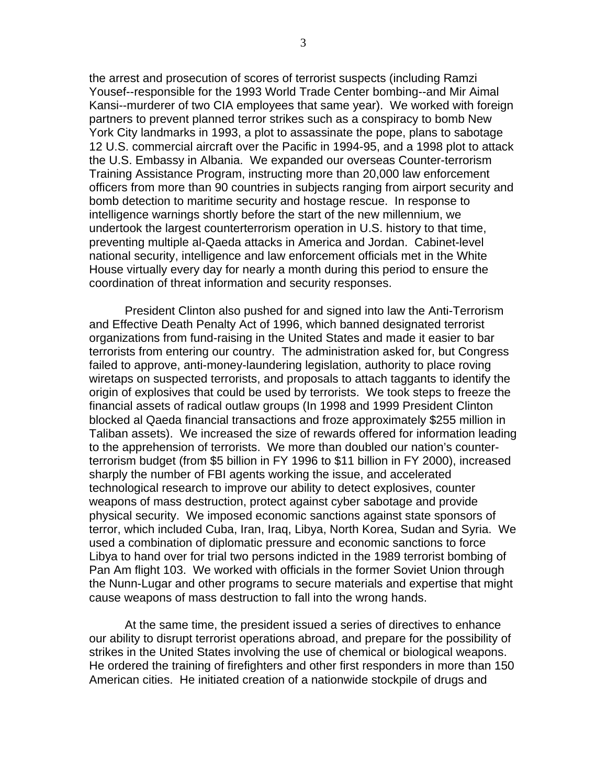the arrest and prosecution of scores of terrorist suspects (including Ramzi Yousef--responsible for the 1993 World Trade Center bombing--and Mir Aimal Kansi--murderer of two CIA employees that same year). We worked with foreign partners to prevent planned terror strikes such as a conspiracy to bomb New York City landmarks in 1993, a plot to assassinate the pope, plans to sabotage 12 U.S. commercial aircraft over the Pacific in 1994-95, and a 1998 plot to attack the U.S. Embassy in Albania. We expanded our overseas Counter-terrorism Training Assistance Program, instructing more than 20,000 law enforcement officers from more than 90 countries in subjects ranging from airport security and bomb detection to maritime security and hostage rescue. In response to intelligence warnings shortly before the start of the new millennium, we undertook the largest counterterrorism operation in U.S. history to that time, preventing multiple al-Qaeda attacks in America and Jordan. Cabinet-level national security, intelligence and law enforcement officials met in the White House virtually every day for nearly a month during this period to ensure the coordination of threat information and security responses.

President Clinton also pushed for and signed into law the Anti-Terrorism and Effective Death Penalty Act of 1996, which banned designated terrorist organizations from fund-raising in the United States and made it easier to bar terrorists from entering our country. The administration asked for, but Congress failed to approve, anti-money-laundering legislation, authority to place roving wiretaps on suspected terrorists, and proposals to attach taggants to identify the origin of explosives that could be used by terrorists. We took steps to freeze the financial assets of radical outlaw groups (In 1998 and 1999 President Clinton blocked al Qaeda financial transactions and froze approximately \$255 million in Taliban assets). We increased the size of rewards offered for information leading to the apprehension of terrorists. We more than doubled our nation's counterterrorism budget (from \$5 billion in FY 1996 to \$11 billion in FY 2000), increased sharply the number of FBI agents working the issue, and accelerated technological research to improve our ability to detect explosives, counter weapons of mass destruction, protect against cyber sabotage and provide physical security. We imposed economic sanctions against state sponsors of terror, which included Cuba, Iran, Iraq, Libya, North Korea, Sudan and Syria. We used a combination of diplomatic pressure and economic sanctions to force Libya to hand over for trial two persons indicted in the 1989 terrorist bombing of Pan Am flight 103. We worked with officials in the former Soviet Union through the Nunn-Lugar and other programs to secure materials and expertise that might cause weapons of mass destruction to fall into the wrong hands.

At the same time, the president issued a series of directives to enhance our ability to disrupt terrorist operations abroad, and prepare for the possibility of strikes in the United States involving the use of chemical or biological weapons. He ordered the training of firefighters and other first responders in more than 150 American cities. He initiated creation of a nationwide stockpile of drugs and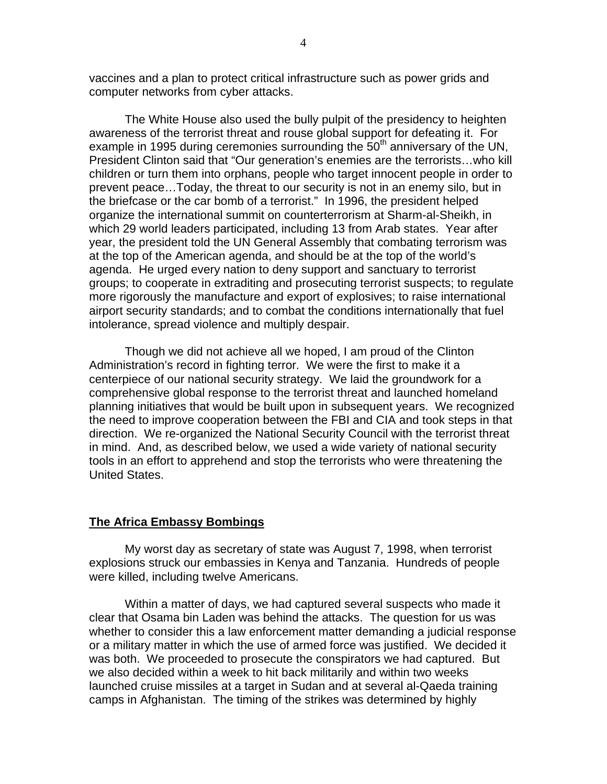vaccines and a plan to protect critical infrastructure such as power grids and computer networks from cyber attacks.

The White House also used the bully pulpit of the presidency to heighten awareness of the terrorist threat and rouse global support for defeating it. For example in 1995 during ceremonies surrounding the  $50<sup>th</sup>$  anniversary of the UN, President Clinton said that "Our generation's enemies are the terrorists…who kill children or turn them into orphans, people who target innocent people in order to prevent peace…Today, the threat to our security is not in an enemy silo, but in the briefcase or the car bomb of a terrorist." In 1996, the president helped organize the international summit on counterterrorism at Sharm-al-Sheikh, in which 29 world leaders participated, including 13 from Arab states. Year after year, the president told the UN General Assembly that combating terrorism was at the top of the American agenda, and should be at the top of the world's agenda. He urged every nation to deny support and sanctuary to terrorist groups; to cooperate in extraditing and prosecuting terrorist suspects; to regulate more rigorously the manufacture and export of explosives; to raise international airport security standards; and to combat the conditions internationally that fuel intolerance, spread violence and multiply despair.

Though we did not achieve all we hoped, I am proud of the Clinton Administration's record in fighting terror. We were the first to make it a centerpiece of our national security strategy. We laid the groundwork for a comprehensive global response to the terrorist threat and launched homeland planning initiatives that would be built upon in subsequent years. We recognized the need to improve cooperation between the FBI and CIA and took steps in that direction. We re-organized the National Security Council with the terrorist threat in mind. And, as described below, we used a wide variety of national security tools in an effort to apprehend and stop the terrorists who were threatening the United States.

#### **The Africa Embassy Bombings**

My worst day as secretary of state was August 7, 1998, when terrorist explosions struck our embassies in Kenya and Tanzania. Hundreds of people were killed, including twelve Americans.

Within a matter of days, we had captured several suspects who made it clear that Osama bin Laden was behind the attacks. The question for us was whether to consider this a law enforcement matter demanding a judicial response or a military matter in which the use of armed force was justified. We decided it was both. We proceeded to prosecute the conspirators we had captured. But we also decided within a week to hit back militarily and within two weeks launched cruise missiles at a target in Sudan and at several al-Qaeda training camps in Afghanistan. The timing of the strikes was determined by highly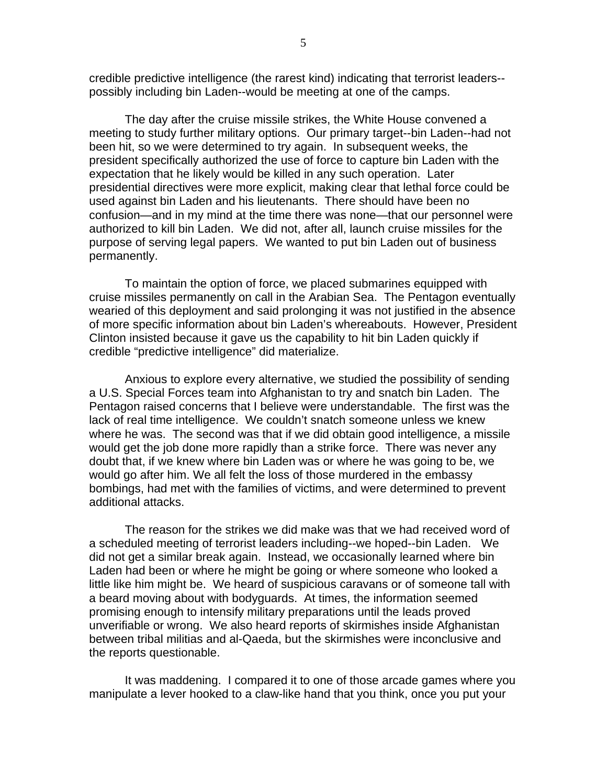credible predictive intelligence (the rarest kind) indicating that terrorist leaders- possibly including bin Laden--would be meeting at one of the camps.

The day after the cruise missile strikes, the White House convened a meeting to study further military options. Our primary target--bin Laden--had not been hit, so we were determined to try again. In subsequent weeks, the president specifically authorized the use of force to capture bin Laden with the expectation that he likely would be killed in any such operation. Later presidential directives were more explicit, making clear that lethal force could be used against bin Laden and his lieutenants. There should have been no confusion—and in my mind at the time there was none—that our personnel were authorized to kill bin Laden. We did not, after all, launch cruise missiles for the purpose of serving legal papers. We wanted to put bin Laden out of business permanently.

To maintain the option of force, we placed submarines equipped with cruise missiles permanently on call in the Arabian Sea. The Pentagon eventually wearied of this deployment and said prolonging it was not justified in the absence of more specific information about bin Laden's whereabouts. However, President Clinton insisted because it gave us the capability to hit bin Laden quickly if credible "predictive intelligence" did materialize.

Anxious to explore every alternative, we studied the possibility of sending a U.S. Special Forces team into Afghanistan to try and snatch bin Laden. The Pentagon raised concerns that I believe were understandable. The first was the lack of real time intelligence. We couldn't snatch someone unless we knew where he was. The second was that if we did obtain good intelligence, a missile would get the job done more rapidly than a strike force. There was never any doubt that, if we knew where bin Laden was or where he was going to be, we would go after him. We all felt the loss of those murdered in the embassy bombings, had met with the families of victims, and were determined to prevent additional attacks.

The reason for the strikes we did make was that we had received word of a scheduled meeting of terrorist leaders including--we hoped--bin Laden. We did not get a similar break again. Instead, we occasionally learned where bin Laden had been or where he might be going or where someone who looked a little like him might be. We heard of suspicious caravans or of someone tall with a beard moving about with bodyguards. At times, the information seemed promising enough to intensify military preparations until the leads proved unverifiable or wrong. We also heard reports of skirmishes inside Afghanistan between tribal militias and al-Qaeda, but the skirmishes were inconclusive and the reports questionable.

It was maddening. I compared it to one of those arcade games where you manipulate a lever hooked to a claw-like hand that you think, once you put your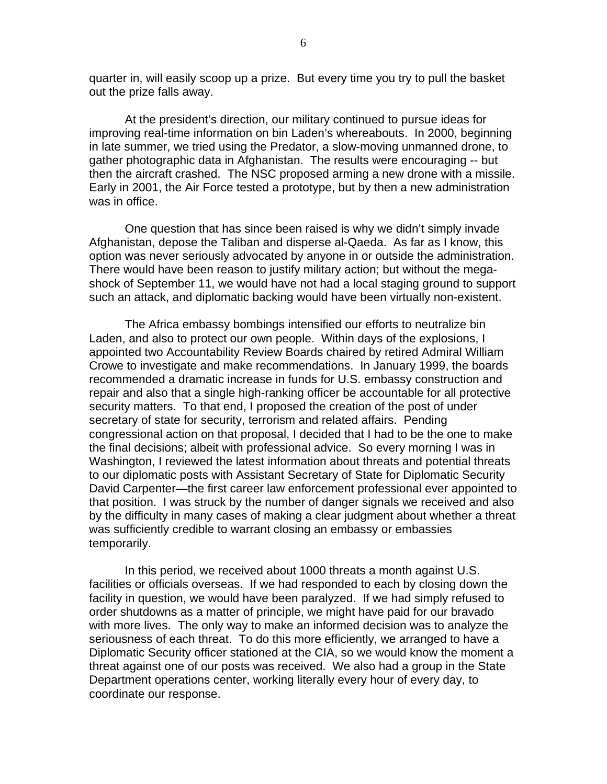quarter in, will easily scoop up a prize. But every time you try to pull the basket out the prize falls away.

At the president's direction, our military continued to pursue ideas for improving real-time information on bin Laden's whereabouts. In 2000, beginning in late summer, we tried using the Predator, a slow-moving unmanned drone, to gather photographic data in Afghanistan. The results were encouraging -- but then the aircraft crashed. The NSC proposed arming a new drone with a missile. Early in 2001, the Air Force tested a prototype, but by then a new administration was in office.

One question that has since been raised is why we didn't simply invade Afghanistan, depose the Taliban and disperse al-Qaeda. As far as I know, this option was never seriously advocated by anyone in or outside the administration. There would have been reason to justify military action; but without the megashock of September 11, we would have not had a local staging ground to support such an attack, and diplomatic backing would have been virtually non-existent.

The Africa embassy bombings intensified our efforts to neutralize bin Laden, and also to protect our own people. Within days of the explosions, I appointed two Accountability Review Boards chaired by retired Admiral William Crowe to investigate and make recommendations. In January 1999, the boards recommended a dramatic increase in funds for U.S. embassy construction and repair and also that a single high-ranking officer be accountable for all protective security matters. To that end, I proposed the creation of the post of under secretary of state for security, terrorism and related affairs. Pending congressional action on that proposal, I decided that I had to be the one to make the final decisions; albeit with professional advice. So every morning I was in Washington, I reviewed the latest information about threats and potential threats to our diplomatic posts with Assistant Secretary of State for Diplomatic Security David Carpenter—the first career law enforcement professional ever appointed to that position. I was struck by the number of danger signals we received and also by the difficulty in many cases of making a clear judgment about whether a threat was sufficiently credible to warrant closing an embassy or embassies temporarily.

In this period, we received about 1000 threats a month against U.S. facilities or officials overseas. If we had responded to each by closing down the facility in question, we would have been paralyzed. If we had simply refused to order shutdowns as a matter of principle, we might have paid for our bravado with more lives. The only way to make an informed decision was to analyze the seriousness of each threat. To do this more efficiently, we arranged to have a Diplomatic Security officer stationed at the CIA, so we would know the moment a threat against one of our posts was received. We also had a group in the State Department operations center, working literally every hour of every day, to coordinate our response.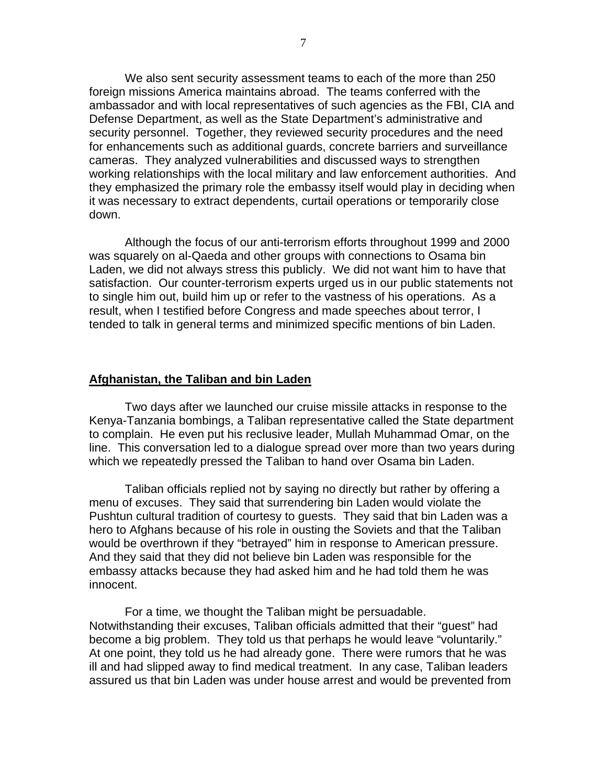We also sent security assessment teams to each of the more than 250 foreign missions America maintains abroad. The teams conferred with the ambassador and with local representatives of such agencies as the FBI, CIA and Defense Department, as well as the State Department's administrative and security personnel. Together, they reviewed security procedures and the need for enhancements such as additional guards, concrete barriers and surveillance cameras. They analyzed vulnerabilities and discussed ways to strengthen working relationships with the local military and law enforcement authorities. And they emphasized the primary role the embassy itself would play in deciding when it was necessary to extract dependents, curtail operations or temporarily close down.

Although the focus of our anti-terrorism efforts throughout 1999 and 2000 was squarely on al-Qaeda and other groups with connections to Osama bin Laden, we did not always stress this publicly. We did not want him to have that satisfaction. Our counter-terrorism experts urged us in our public statements not to single him out, build him up or refer to the vastness of his operations. As a result, when I testified before Congress and made speeches about terror, I tended to talk in general terms and minimized specific mentions of bin Laden.

#### **Afghanistan, the Taliban and bin Laden**

Two days after we launched our cruise missile attacks in response to the Kenya-Tanzania bombings, a Taliban representative called the State department to complain. He even put his reclusive leader, Mullah Muhammad Omar, on the line. This conversation led to a dialogue spread over more than two years during which we repeatedly pressed the Taliban to hand over Osama bin Laden.

Taliban officials replied not by saying no directly but rather by offering a menu of excuses. They said that surrendering bin Laden would violate the Pushtun cultural tradition of courtesy to guests. They said that bin Laden was a hero to Afghans because of his role in ousting the Soviets and that the Taliban would be overthrown if they "betrayed" him in response to American pressure. And they said that they did not believe bin Laden was responsible for the embassy attacks because they had asked him and he had told them he was innocent.

For a time, we thought the Taliban might be persuadable. Notwithstanding their excuses, Taliban officials admitted that their "guest" had become a big problem. They told us that perhaps he would leave "voluntarily." At one point, they told us he had already gone. There were rumors that he was ill and had slipped away to find medical treatment. In any case, Taliban leaders assured us that bin Laden was under house arrest and would be prevented from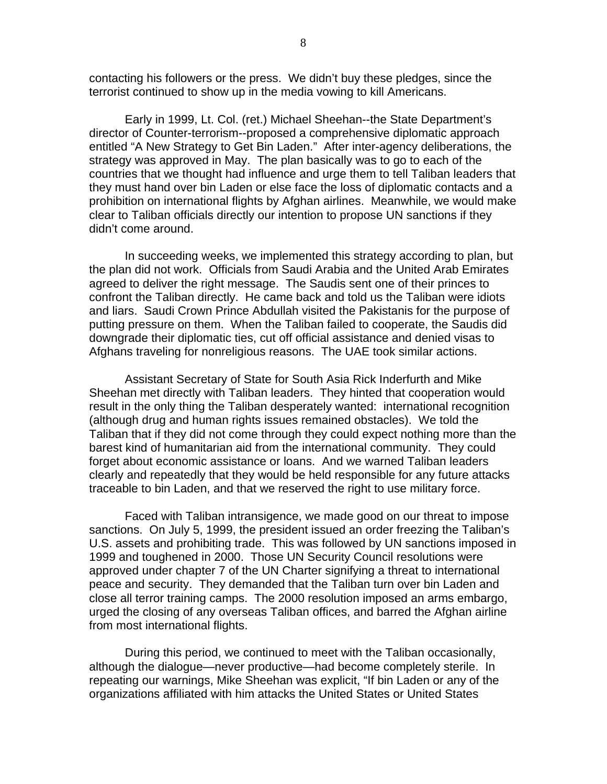contacting his followers or the press. We didn't buy these pledges, since the terrorist continued to show up in the media vowing to kill Americans.

Early in 1999, Lt. Col. (ret.) Michael Sheehan--the State Department's director of Counter-terrorism--proposed a comprehensive diplomatic approach entitled "A New Strategy to Get Bin Laden." After inter-agency deliberations, the strategy was approved in May. The plan basically was to go to each of the countries that we thought had influence and urge them to tell Taliban leaders that they must hand over bin Laden or else face the loss of diplomatic contacts and a prohibition on international flights by Afghan airlines. Meanwhile, we would make clear to Taliban officials directly our intention to propose UN sanctions if they didn't come around.

In succeeding weeks, we implemented this strategy according to plan, but the plan did not work. Officials from Saudi Arabia and the United Arab Emirates agreed to deliver the right message. The Saudis sent one of their princes to confront the Taliban directly. He came back and told us the Taliban were idiots and liars. Saudi Crown Prince Abdullah visited the Pakistanis for the purpose of putting pressure on them. When the Taliban failed to cooperate, the Saudis did downgrade their diplomatic ties, cut off official assistance and denied visas to Afghans traveling for nonreligious reasons. The UAE took similar actions.

Assistant Secretary of State for South Asia Rick Inderfurth and Mike Sheehan met directly with Taliban leaders. They hinted that cooperation would result in the only thing the Taliban desperately wanted: international recognition (although drug and human rights issues remained obstacles). We told the Taliban that if they did not come through they could expect nothing more than the barest kind of humanitarian aid from the international community. They could forget about economic assistance or loans. And we warned Taliban leaders clearly and repeatedly that they would be held responsible for any future attacks traceable to bin Laden, and that we reserved the right to use military force.

Faced with Taliban intransigence, we made good on our threat to impose sanctions. On July 5, 1999, the president issued an order freezing the Taliban's U.S. assets and prohibiting trade. This was followed by UN sanctions imposed in 1999 and toughened in 2000. Those UN Security Council resolutions were approved under chapter 7 of the UN Charter signifying a threat to international peace and security. They demanded that the Taliban turn over bin Laden and close all terror training camps. The 2000 resolution imposed an arms embargo, urged the closing of any overseas Taliban offices, and barred the Afghan airline from most international flights.

During this period, we continued to meet with the Taliban occasionally, although the dialogue—never productive—had become completely sterile. In repeating our warnings, Mike Sheehan was explicit, "If bin Laden or any of the organizations affiliated with him attacks the United States or United States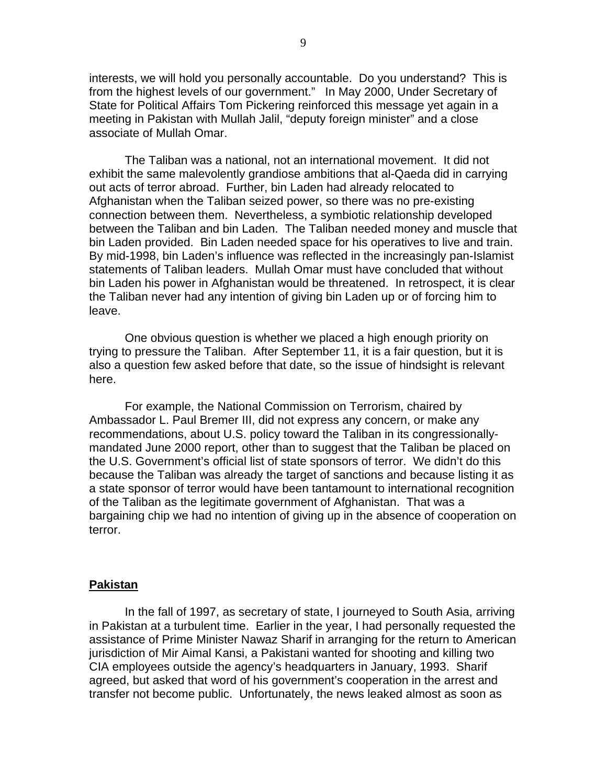interests, we will hold you personally accountable. Do you understand? This is from the highest levels of our government." In May 2000, Under Secretary of State for Political Affairs Tom Pickering reinforced this message yet again in a meeting in Pakistan with Mullah Jalil, "deputy foreign minister" and a close associate of Mullah Omar.

The Taliban was a national, not an international movement. It did not exhibit the same malevolently grandiose ambitions that al-Qaeda did in carrying out acts of terror abroad. Further, bin Laden had already relocated to Afghanistan when the Taliban seized power, so there was no pre-existing connection between them. Nevertheless, a symbiotic relationship developed between the Taliban and bin Laden. The Taliban needed money and muscle that bin Laden provided. Bin Laden needed space for his operatives to live and train. By mid-1998, bin Laden's influence was reflected in the increasingly pan-Islamist statements of Taliban leaders. Mullah Omar must have concluded that without bin Laden his power in Afghanistan would be threatened. In retrospect, it is clear the Taliban never had any intention of giving bin Laden up or of forcing him to leave.

One obvious question is whether we placed a high enough priority on trying to pressure the Taliban. After September 11, it is a fair question, but it is also a question few asked before that date, so the issue of hindsight is relevant here.

For example, the National Commission on Terrorism, chaired by Ambassador L. Paul Bremer III, did not express any concern, or make any recommendations, about U.S. policy toward the Taliban in its congressionallymandated June 2000 report, other than to suggest that the Taliban be placed on the U.S. Government's official list of state sponsors of terror. We didn't do this because the Taliban was already the target of sanctions and because listing it as a state sponsor of terror would have been tantamount to international recognition of the Taliban as the legitimate government of Afghanistan. That was a bargaining chip we had no intention of giving up in the absence of cooperation on terror.

#### **Pakistan**

In the fall of 1997, as secretary of state, I journeyed to South Asia, arriving in Pakistan at a turbulent time. Earlier in the year, I had personally requested the assistance of Prime Minister Nawaz Sharif in arranging for the return to American jurisdiction of Mir Aimal Kansi, a Pakistani wanted for shooting and killing two CIA employees outside the agency's headquarters in January, 1993. Sharif agreed, but asked that word of his government's cooperation in the arrest and transfer not become public. Unfortunately, the news leaked almost as soon as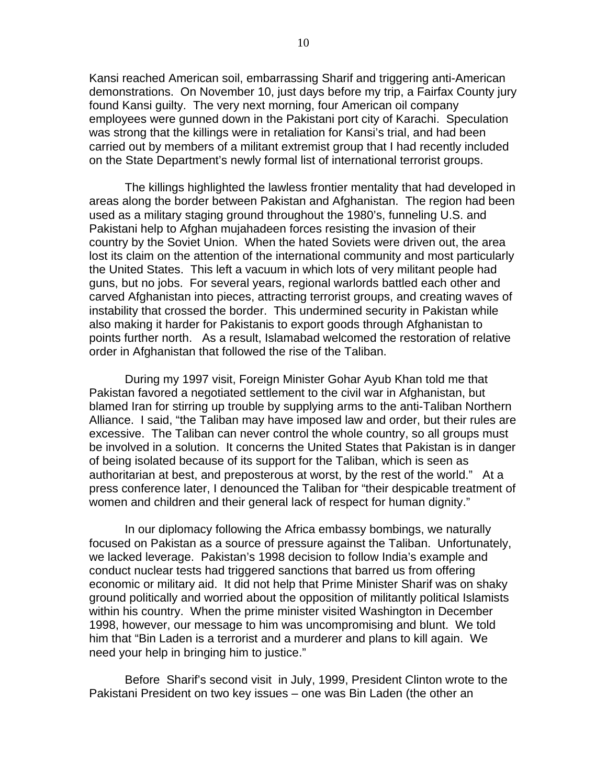Kansi reached American soil, embarrassing Sharif and triggering anti-American demonstrations. On November 10, just days before my trip, a Fairfax County jury found Kansi guilty. The very next morning, four American oil company employees were gunned down in the Pakistani port city of Karachi. Speculation was strong that the killings were in retaliation for Kansi's trial, and had been carried out by members of a militant extremist group that I had recently included on the State Department's newly formal list of international terrorist groups.

The killings highlighted the lawless frontier mentality that had developed in areas along the border between Pakistan and Afghanistan. The region had been used as a military staging ground throughout the 1980's, funneling U.S. and Pakistani help to Afghan mujahadeen forces resisting the invasion of their country by the Soviet Union. When the hated Soviets were driven out, the area lost its claim on the attention of the international community and most particularly the United States. This left a vacuum in which lots of very militant people had guns, but no jobs. For several years, regional warlords battled each other and carved Afghanistan into pieces, attracting terrorist groups, and creating waves of instability that crossed the border. This undermined security in Pakistan while also making it harder for Pakistanis to export goods through Afghanistan to points further north. As a result, Islamabad welcomed the restoration of relative order in Afghanistan that followed the rise of the Taliban.

During my 1997 visit, Foreign Minister Gohar Ayub Khan told me that Pakistan favored a negotiated settlement to the civil war in Afghanistan, but blamed Iran for stirring up trouble by supplying arms to the anti-Taliban Northern Alliance. I said, "the Taliban may have imposed law and order, but their rules are excessive. The Taliban can never control the whole country, so all groups must be involved in a solution. It concerns the United States that Pakistan is in danger of being isolated because of its support for the Taliban, which is seen as authoritarian at best, and preposterous at worst, by the rest of the world." At a press conference later, I denounced the Taliban for "their despicable treatment of women and children and their general lack of respect for human dignity."

In our diplomacy following the Africa embassy bombings, we naturally focused on Pakistan as a source of pressure against the Taliban. Unfortunately, we lacked leverage. Pakistan's 1998 decision to follow India's example and conduct nuclear tests had triggered sanctions that barred us from offering economic or military aid. It did not help that Prime Minister Sharif was on shaky ground politically and worried about the opposition of militantly political Islamists within his country. When the prime minister visited Washington in December 1998, however, our message to him was uncompromising and blunt. We told him that "Bin Laden is a terrorist and a murderer and plans to kill again. We need your help in bringing him to justice."

Before Sharif's second visit in July, 1999, President Clinton wrote to the Pakistani President on two key issues – one was Bin Laden (the other an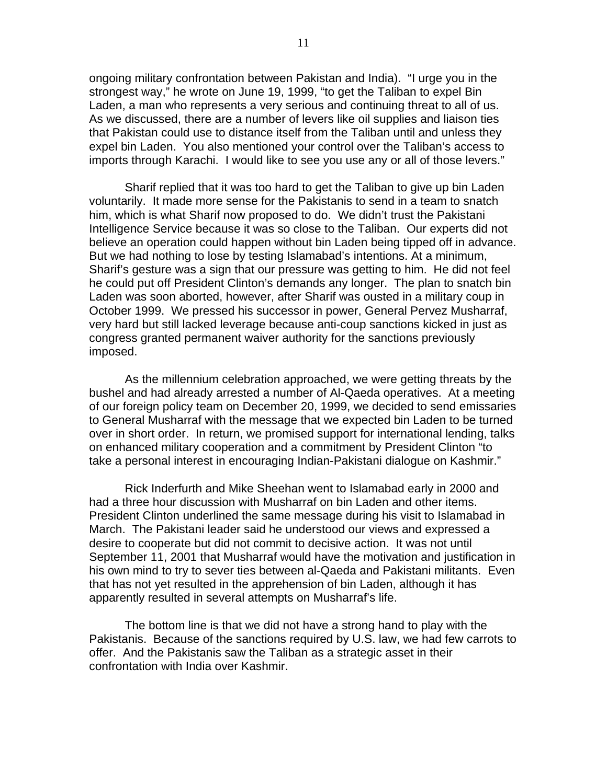ongoing military confrontation between Pakistan and India). "I urge you in the strongest way," he wrote on June 19, 1999, "to get the Taliban to expel Bin Laden, a man who represents a very serious and continuing threat to all of us. As we discussed, there are a number of levers like oil supplies and liaison ties that Pakistan could use to distance itself from the Taliban until and unless they expel bin Laden. You also mentioned your control over the Taliban's access to imports through Karachi. I would like to see you use any or all of those levers."

Sharif replied that it was too hard to get the Taliban to give up bin Laden voluntarily. It made more sense for the Pakistanis to send in a team to snatch him, which is what Sharif now proposed to do. We didn't trust the Pakistani Intelligence Service because it was so close to the Taliban. Our experts did not believe an operation could happen without bin Laden being tipped off in advance. But we had nothing to lose by testing Islamabad's intentions. At a minimum, Sharif's gesture was a sign that our pressure was getting to him. He did not feel he could put off President Clinton's demands any longer. The plan to snatch bin Laden was soon aborted, however, after Sharif was ousted in a military coup in October 1999. We pressed his successor in power, General Pervez Musharraf, very hard but still lacked leverage because anti-coup sanctions kicked in just as congress granted permanent waiver authority for the sanctions previously imposed.

As the millennium celebration approached, we were getting threats by the bushel and had already arrested a number of Al-Qaeda operatives. At a meeting of our foreign policy team on December 20, 1999, we decided to send emissaries to General Musharraf with the message that we expected bin Laden to be turned over in short order. In return, we promised support for international lending, talks on enhanced military cooperation and a commitment by President Clinton "to take a personal interest in encouraging Indian-Pakistani dialogue on Kashmir."

Rick Inderfurth and Mike Sheehan went to Islamabad early in 2000 and had a three hour discussion with Musharraf on bin Laden and other items. President Clinton underlined the same message during his visit to Islamabad in March. The Pakistani leader said he understood our views and expressed a desire to cooperate but did not commit to decisive action. It was not until September 11, 2001 that Musharraf would have the motivation and justification in his own mind to try to sever ties between al-Qaeda and Pakistani militants. Even that has not yet resulted in the apprehension of bin Laden, although it has apparently resulted in several attempts on Musharraf's life.

The bottom line is that we did not have a strong hand to play with the Pakistanis. Because of the sanctions required by U.S. law, we had few carrots to offer. And the Pakistanis saw the Taliban as a strategic asset in their confrontation with India over Kashmir.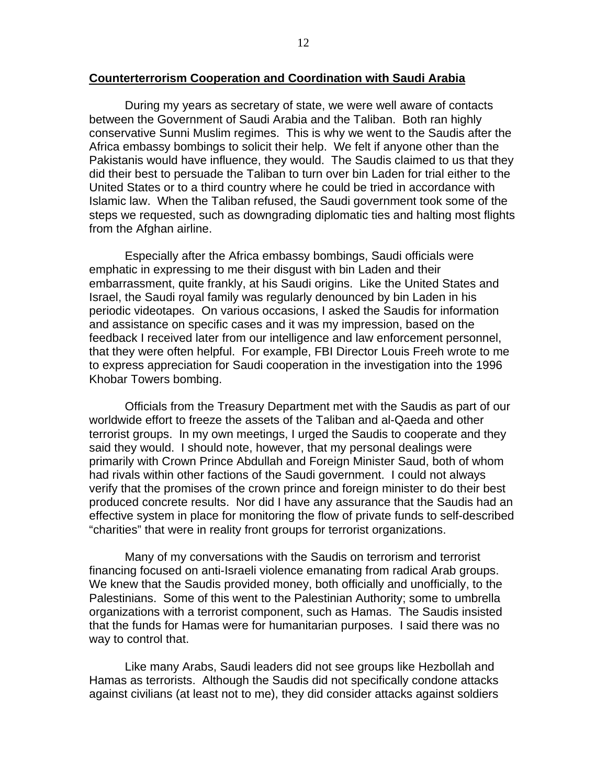During my years as secretary of state, we were well aware of contacts between the Government of Saudi Arabia and the Taliban. Both ran highly conservative Sunni Muslim regimes. This is why we went to the Saudis after the Africa embassy bombings to solicit their help. We felt if anyone other than the Pakistanis would have influence, they would. The Saudis claimed to us that they did their best to persuade the Taliban to turn over bin Laden for trial either to the United States or to a third country where he could be tried in accordance with Islamic law. When the Taliban refused, the Saudi government took some of the steps we requested, such as downgrading diplomatic ties and halting most flights from the Afghan airline.

Especially after the Africa embassy bombings, Saudi officials were emphatic in expressing to me their disgust with bin Laden and their embarrassment, quite frankly, at his Saudi origins. Like the United States and Israel, the Saudi royal family was regularly denounced by bin Laden in his periodic videotapes. On various occasions, I asked the Saudis for information and assistance on specific cases and it was my impression, based on the feedback I received later from our intelligence and law enforcement personnel, that they were often helpful. For example, FBI Director Louis Freeh wrote to me to express appreciation for Saudi cooperation in the investigation into the 1996 Khobar Towers bombing.

Officials from the Treasury Department met with the Saudis as part of our worldwide effort to freeze the assets of the Taliban and al-Qaeda and other terrorist groups. In my own meetings, I urged the Saudis to cooperate and they said they would. I should note, however, that my personal dealings were primarily with Crown Prince Abdullah and Foreign Minister Saud, both of whom had rivals within other factions of the Saudi government. I could not always verify that the promises of the crown prince and foreign minister to do their best produced concrete results. Nor did I have any assurance that the Saudis had an effective system in place for monitoring the flow of private funds to self-described "charities" that were in reality front groups for terrorist organizations.

Many of my conversations with the Saudis on terrorism and terrorist financing focused on anti-Israeli violence emanating from radical Arab groups. We knew that the Saudis provided money, both officially and unofficially, to the Palestinians. Some of this went to the Palestinian Authority; some to umbrella organizations with a terrorist component, such as Hamas. The Saudis insisted that the funds for Hamas were for humanitarian purposes. I said there was no way to control that.

Like many Arabs, Saudi leaders did not see groups like Hezbollah and Hamas as terrorists. Although the Saudis did not specifically condone attacks against civilians (at least not to me), they did consider attacks against soldiers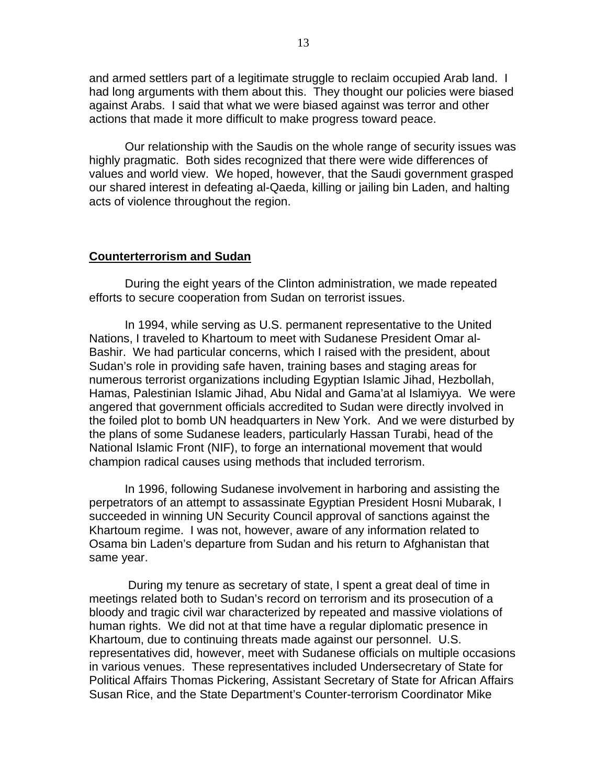and armed settlers part of a legitimate struggle to reclaim occupied Arab land. I had long arguments with them about this. They thought our policies were biased against Arabs. I said that what we were biased against was terror and other actions that made it more difficult to make progress toward peace.

Our relationship with the Saudis on the whole range of security issues was highly pragmatic. Both sides recognized that there were wide differences of values and world view. We hoped, however, that the Saudi government grasped our shared interest in defeating al-Qaeda, killing or jailing bin Laden, and halting acts of violence throughout the region.

#### **Counterterrorism and Sudan**

During the eight years of the Clinton administration, we made repeated efforts to secure cooperation from Sudan on terrorist issues.

In 1994, while serving as U.S. permanent representative to the United Nations, I traveled to Khartoum to meet with Sudanese President Omar al-Bashir. We had particular concerns, which I raised with the president, about Sudan's role in providing safe haven, training bases and staging areas for numerous terrorist organizations including Egyptian Islamic Jihad, Hezbollah, Hamas, Palestinian Islamic Jihad, Abu Nidal and Gama'at al Islamiyya. We were angered that government officials accredited to Sudan were directly involved in the foiled plot to bomb UN headquarters in New York. And we were disturbed by the plans of some Sudanese leaders, particularly Hassan Turabi, head of the National Islamic Front (NIF), to forge an international movement that would champion radical causes using methods that included terrorism.

In 1996, following Sudanese involvement in harboring and assisting the perpetrators of an attempt to assassinate Egyptian President Hosni Mubarak, I succeeded in winning UN Security Council approval of sanctions against the Khartoum regime. I was not, however, aware of any information related to Osama bin Laden's departure from Sudan and his return to Afghanistan that same year.

 During my tenure as secretary of state, I spent a great deal of time in meetings related both to Sudan's record on terrorism and its prosecution of a bloody and tragic civil war characterized by repeated and massive violations of human rights. We did not at that time have a regular diplomatic presence in Khartoum, due to continuing threats made against our personnel. U.S. representatives did, however, meet with Sudanese officials on multiple occasions in various venues. These representatives included Undersecretary of State for Political Affairs Thomas Pickering, Assistant Secretary of State for African Affairs Susan Rice, and the State Department's Counter-terrorism Coordinator Mike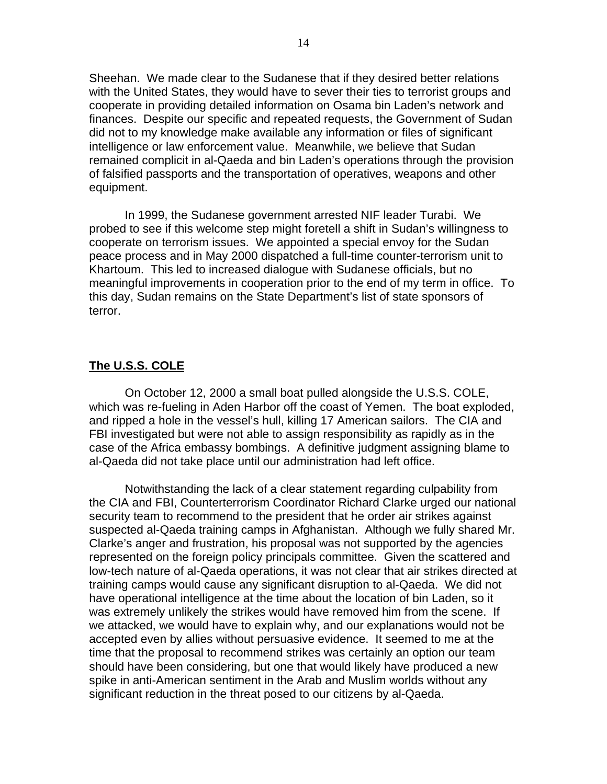Sheehan. We made clear to the Sudanese that if they desired better relations with the United States, they would have to sever their ties to terrorist groups and cooperate in providing detailed information on Osama bin Laden's network and finances. Despite our specific and repeated requests, the Government of Sudan did not to my knowledge make available any information or files of significant intelligence or law enforcement value. Meanwhile, we believe that Sudan remained complicit in al-Qaeda and bin Laden's operations through the provision of falsified passports and the transportation of operatives, weapons and other equipment.

In 1999, the Sudanese government arrested NIF leader Turabi. We probed to see if this welcome step might foretell a shift in Sudan's willingness to cooperate on terrorism issues. We appointed a special envoy for the Sudan peace process and in May 2000 dispatched a full-time counter-terrorism unit to Khartoum. This led to increased dialogue with Sudanese officials, but no meaningful improvements in cooperation prior to the end of my term in office. To this day, Sudan remains on the State Department's list of state sponsors of terror.

# **The U.S.S. COLE**

On October 12, 2000 a small boat pulled alongside the U.S.S. COLE, which was re-fueling in Aden Harbor off the coast of Yemen. The boat exploded, and ripped a hole in the vessel's hull, killing 17 American sailors. The CIA and FBI investigated but were not able to assign responsibility as rapidly as in the case of the Africa embassy bombings. A definitive judgment assigning blame to al-Qaeda did not take place until our administration had left office.

Notwithstanding the lack of a clear statement regarding culpability from the CIA and FBI, Counterterrorism Coordinator Richard Clarke urged our national security team to recommend to the president that he order air strikes against suspected al-Qaeda training camps in Afghanistan. Although we fully shared Mr. Clarke's anger and frustration, his proposal was not supported by the agencies represented on the foreign policy principals committee. Given the scattered and low-tech nature of al-Qaeda operations, it was not clear that air strikes directed at training camps would cause any significant disruption to al-Qaeda. We did not have operational intelligence at the time about the location of bin Laden, so it was extremely unlikely the strikes would have removed him from the scene. If we attacked, we would have to explain why, and our explanations would not be accepted even by allies without persuasive evidence. It seemed to me at the time that the proposal to recommend strikes was certainly an option our team should have been considering, but one that would likely have produced a new spike in anti-American sentiment in the Arab and Muslim worlds without any significant reduction in the threat posed to our citizens by al-Qaeda.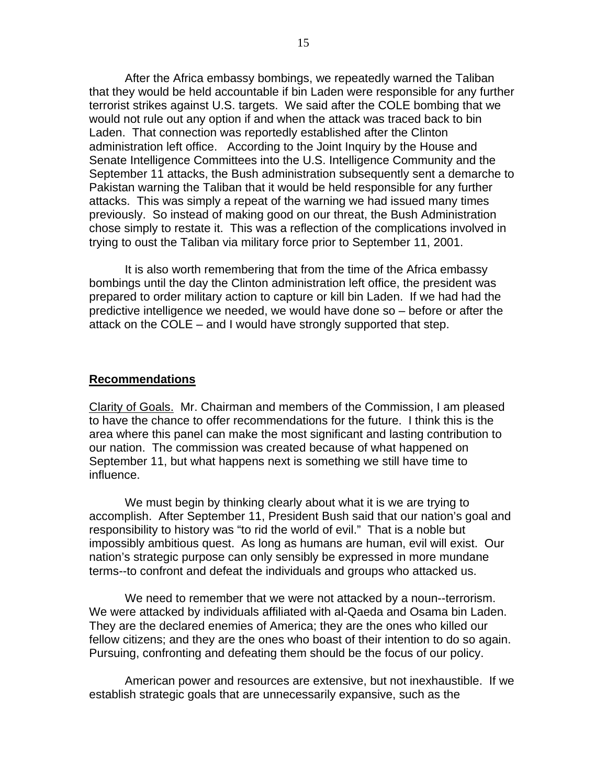After the Africa embassy bombings, we repeatedly warned the Taliban that they would be held accountable if bin Laden were responsible for any further terrorist strikes against U.S. targets. We said after the COLE bombing that we would not rule out any option if and when the attack was traced back to bin Laden. That connection was reportedly established after the Clinton administration left office. According to the Joint Inquiry by the House and Senate Intelligence Committees into the U.S. Intelligence Community and the September 11 attacks, the Bush administration subsequently sent a demarche to Pakistan warning the Taliban that it would be held responsible for any further attacks. This was simply a repeat of the warning we had issued many times previously. So instead of making good on our threat, the Bush Administration chose simply to restate it. This was a reflection of the complications involved in trying to oust the Taliban via military force prior to September 11, 2001.

It is also worth remembering that from the time of the Africa embassy bombings until the day the Clinton administration left office, the president was prepared to order military action to capture or kill bin Laden. If we had had the predictive intelligence we needed, we would have done so – before or after the attack on the COLE – and I would have strongly supported that step.

## **Recommendations**

Clarity of Goals. Mr. Chairman and members of the Commission, I am pleased to have the chance to offer recommendations for the future. I think this is the area where this panel can make the most significant and lasting contribution to our nation. The commission was created because of what happened on September 11, but what happens next is something we still have time to influence.

We must begin by thinking clearly about what it is we are trying to accomplish. After September 11, President Bush said that our nation's goal and responsibility to history was "to rid the world of evil." That is a noble but impossibly ambitious quest. As long as humans are human, evil will exist. Our nation's strategic purpose can only sensibly be expressed in more mundane terms--to confront and defeat the individuals and groups who attacked us.

We need to remember that we were not attacked by a noun--terrorism. We were attacked by individuals affiliated with al-Qaeda and Osama bin Laden. They are the declared enemies of America; they are the ones who killed our fellow citizens; and they are the ones who boast of their intention to do so again. Pursuing, confronting and defeating them should be the focus of our policy.

American power and resources are extensive, but not inexhaustible. If we establish strategic goals that are unnecessarily expansive, such as the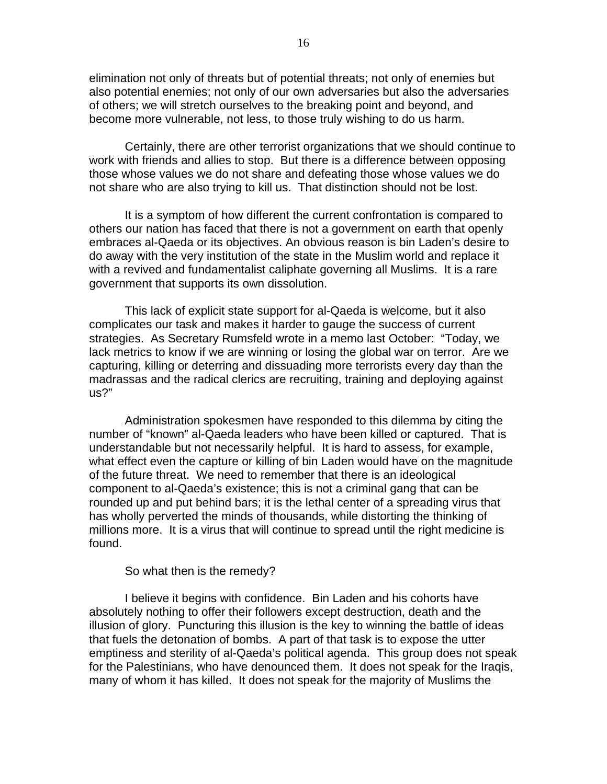elimination not only of threats but of potential threats; not only of enemies but also potential enemies; not only of our own adversaries but also the adversaries of others; we will stretch ourselves to the breaking point and beyond, and become more vulnerable, not less, to those truly wishing to do us harm.

Certainly, there are other terrorist organizations that we should continue to work with friends and allies to stop. But there is a difference between opposing those whose values we do not share and defeating those whose values we do not share who are also trying to kill us. That distinction should not be lost.

It is a symptom of how different the current confrontation is compared to others our nation has faced that there is not a government on earth that openly embraces al-Qaeda or its objectives. An obvious reason is bin Laden's desire to do away with the very institution of the state in the Muslim world and replace it with a revived and fundamentalist caliphate governing all Muslims. It is a rare government that supports its own dissolution.

This lack of explicit state support for al-Qaeda is welcome, but it also complicates our task and makes it harder to gauge the success of current strategies. As Secretary Rumsfeld wrote in a memo last October: "Today, we lack metrics to know if we are winning or losing the global war on terror. Are we capturing, killing or deterring and dissuading more terrorists every day than the madrassas and the radical clerics are recruiting, training and deploying against us?"

Administration spokesmen have responded to this dilemma by citing the number of "known" al-Qaeda leaders who have been killed or captured. That is understandable but not necessarily helpful. It is hard to assess, for example, what effect even the capture or killing of bin Laden would have on the magnitude of the future threat. We need to remember that there is an ideological component to al-Qaeda's existence; this is not a criminal gang that can be rounded up and put behind bars; it is the lethal center of a spreading virus that has wholly perverted the minds of thousands, while distorting the thinking of millions more. It is a virus that will continue to spread until the right medicine is found.

## So what then is the remedy?

I believe it begins with confidence. Bin Laden and his cohorts have absolutely nothing to offer their followers except destruction, death and the illusion of glory. Puncturing this illusion is the key to winning the battle of ideas that fuels the detonation of bombs. A part of that task is to expose the utter emptiness and sterility of al-Qaeda's political agenda. This group does not speak for the Palestinians, who have denounced them. It does not speak for the Iraqis, many of whom it has killed. It does not speak for the majority of Muslims the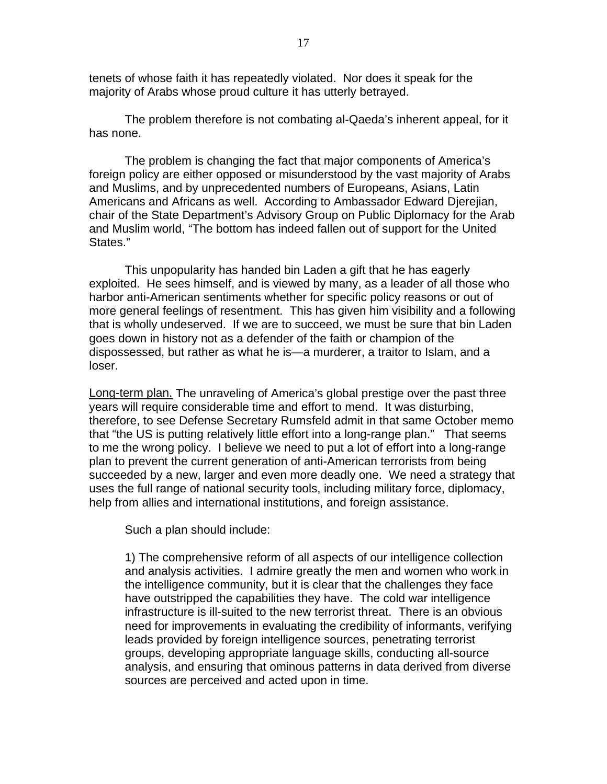tenets of whose faith it has repeatedly violated. Nor does it speak for the majority of Arabs whose proud culture it has utterly betrayed.

The problem therefore is not combating al-Qaeda's inherent appeal, for it has none.

The problem is changing the fact that major components of America's foreign policy are either opposed or misunderstood by the vast majority of Arabs and Muslims, and by unprecedented numbers of Europeans, Asians, Latin Americans and Africans as well. According to Ambassador Edward Djerejian, chair of the State Department's Advisory Group on Public Diplomacy for the Arab and Muslim world, "The bottom has indeed fallen out of support for the United States."

This unpopularity has handed bin Laden a gift that he has eagerly exploited. He sees himself, and is viewed by many, as a leader of all those who harbor anti-American sentiments whether for specific policy reasons or out of more general feelings of resentment. This has given him visibility and a following that is wholly undeserved. If we are to succeed, we must be sure that bin Laden goes down in history not as a defender of the faith or champion of the dispossessed, but rather as what he is—a murderer, a traitor to Islam, and a loser.

Long-term plan. The unraveling of America's global prestige over the past three years will require considerable time and effort to mend. It was disturbing, therefore, to see Defense Secretary Rumsfeld admit in that same October memo that "the US is putting relatively little effort into a long-range plan." That seems to me the wrong policy. I believe we need to put a lot of effort into a long-range plan to prevent the current generation of anti-American terrorists from being succeeded by a new, larger and even more deadly one. We need a strategy that uses the full range of national security tools, including military force, diplomacy, help from allies and international institutions, and foreign assistance.

Such a plan should include:

1) The comprehensive reform of all aspects of our intelligence collection and analysis activities. I admire greatly the men and women who work in the intelligence community, but it is clear that the challenges they face have outstripped the capabilities they have. The cold war intelligence infrastructure is ill-suited to the new terrorist threat. There is an obvious need for improvements in evaluating the credibility of informants, verifying leads provided by foreign intelligence sources, penetrating terrorist groups, developing appropriate language skills, conducting all-source analysis, and ensuring that ominous patterns in data derived from diverse sources are perceived and acted upon in time.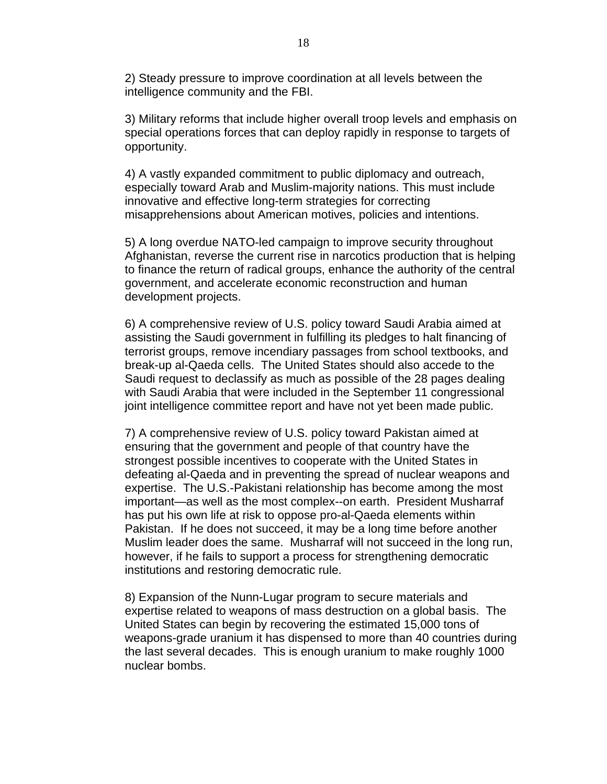2) Steady pressure to improve coordination at all levels between the intelligence community and the FBI.

3) Military reforms that include higher overall troop levels and emphasis on special operations forces that can deploy rapidly in response to targets of opportunity.

4) A vastly expanded commitment to public diplomacy and outreach, especially toward Arab and Muslim-majority nations. This must include innovative and effective long-term strategies for correcting misapprehensions about American motives, policies and intentions.

5) A long overdue NATO-led campaign to improve security throughout Afghanistan, reverse the current rise in narcotics production that is helping to finance the return of radical groups, enhance the authority of the central government, and accelerate economic reconstruction and human development projects.

6) A comprehensive review of U.S. policy toward Saudi Arabia aimed at assisting the Saudi government in fulfilling its pledges to halt financing of terrorist groups, remove incendiary passages from school textbooks, and break-up al-Qaeda cells. The United States should also accede to the Saudi request to declassify as much as possible of the 28 pages dealing with Saudi Arabia that were included in the September 11 congressional joint intelligence committee report and have not yet been made public.

7) A comprehensive review of U.S. policy toward Pakistan aimed at ensuring that the government and people of that country have the strongest possible incentives to cooperate with the United States in defeating al-Qaeda and in preventing the spread of nuclear weapons and expertise. The U.S.-Pakistani relationship has become among the most important—as well as the most complex--on earth. President Musharraf has put his own life at risk to oppose pro-al-Qaeda elements within Pakistan. If he does not succeed, it may be a long time before another Muslim leader does the same. Musharraf will not succeed in the long run, however, if he fails to support a process for strengthening democratic institutions and restoring democratic rule.

8) Expansion of the Nunn-Lugar program to secure materials and expertise related to weapons of mass destruction on a global basis. The United States can begin by recovering the estimated 15,000 tons of weapons-grade uranium it has dispensed to more than 40 countries during the last several decades. This is enough uranium to make roughly 1000 nuclear bombs.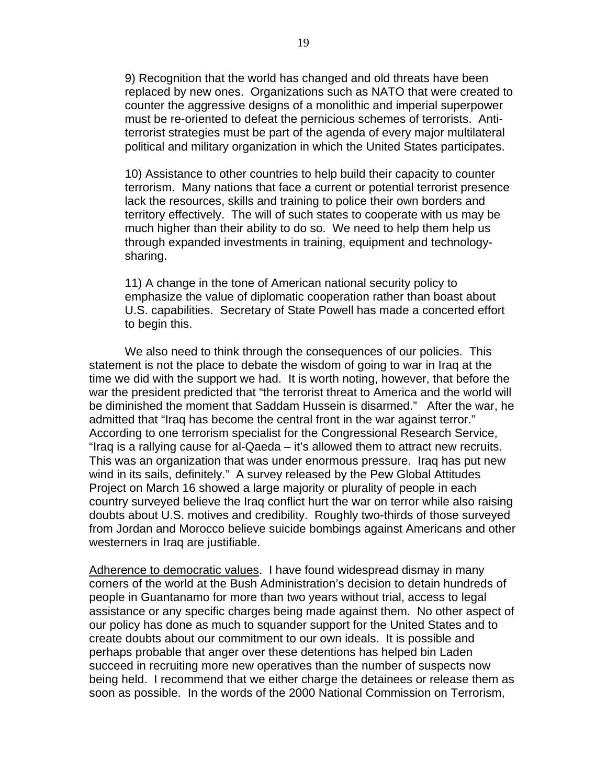9) Recognition that the world has changed and old threats have been replaced by new ones. Organizations such as NATO that were created to counter the aggressive designs of a monolithic and imperial superpower must be re-oriented to defeat the pernicious schemes of terrorists. Antiterrorist strategies must be part of the agenda of every major multilateral political and military organization in which the United States participates.

10) Assistance to other countries to help build their capacity to counter terrorism. Many nations that face a current or potential terrorist presence lack the resources, skills and training to police their own borders and territory effectively. The will of such states to cooperate with us may be much higher than their ability to do so. We need to help them help us through expanded investments in training, equipment and technologysharing.

11) A change in the tone of American national security policy to emphasize the value of diplomatic cooperation rather than boast about U.S. capabilities. Secretary of State Powell has made a concerted effort to begin this.

We also need to think through the consequences of our policies. This statement is not the place to debate the wisdom of going to war in Iraq at the time we did with the support we had. It is worth noting, however, that before the war the president predicted that "the terrorist threat to America and the world will be diminished the moment that Saddam Hussein is disarmed." After the war, he admitted that "Iraq has become the central front in the war against terror." According to one terrorism specialist for the Congressional Research Service, "Iraq is a rallying cause for al-Qaeda – it's allowed them to attract new recruits. This was an organization that was under enormous pressure. Iraq has put new wind in its sails, definitely." A survey released by the Pew Global Attitudes Project on March 16 showed a large majority or plurality of people in each country surveyed believe the Iraq conflict hurt the war on terror while also raising doubts about U.S. motives and credibility. Roughly two-thirds of those surveyed from Jordan and Morocco believe suicide bombings against Americans and other westerners in Iraq are justifiable.

Adherence to democratic values. I have found widespread dismay in many corners of the world at the Bush Administration's decision to detain hundreds of people in Guantanamo for more than two years without trial, access to legal assistance or any specific charges being made against them. No other aspect of our policy has done as much to squander support for the United States and to create doubts about our commitment to our own ideals. It is possible and perhaps probable that anger over these detentions has helped bin Laden succeed in recruiting more new operatives than the number of suspects now being held. I recommend that we either charge the detainees or release them as soon as possible. In the words of the 2000 National Commission on Terrorism,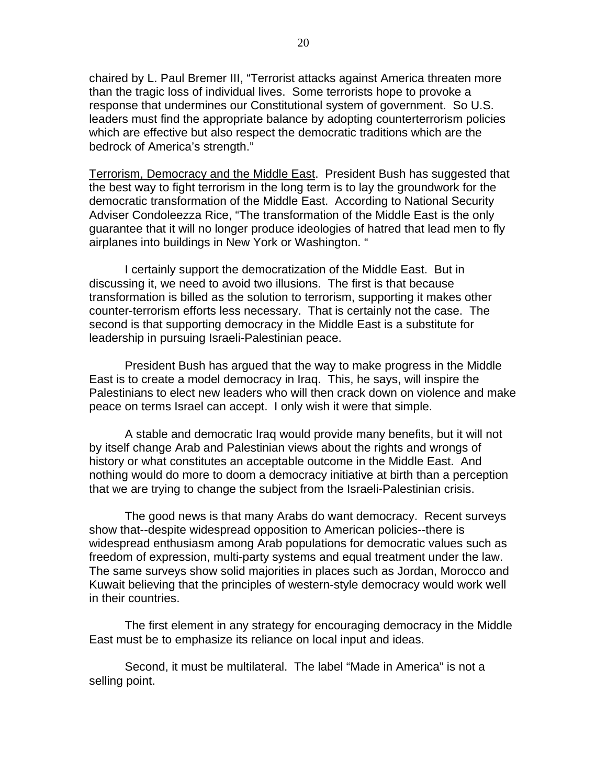20

chaired by L. Paul Bremer III, "Terrorist attacks against America threaten more than the tragic loss of individual lives. Some terrorists hope to provoke a response that undermines our Constitutional system of government. So U.S. leaders must find the appropriate balance by adopting counterterrorism policies which are effective but also respect the democratic traditions which are the bedrock of America's strength."

Terrorism, Democracy and the Middle East. President Bush has suggested that the best way to fight terrorism in the long term is to lay the groundwork for the democratic transformation of the Middle East. According to National Security Adviser Condoleezza Rice, "The transformation of the Middle East is the only guarantee that it will no longer produce ideologies of hatred that lead men to fly airplanes into buildings in New York or Washington. "

I certainly support the democratization of the Middle East. But in discussing it, we need to avoid two illusions. The first is that because transformation is billed as the solution to terrorism, supporting it makes other counter-terrorism efforts less necessary. That is certainly not the case. The second is that supporting democracy in the Middle East is a substitute for leadership in pursuing Israeli-Palestinian peace.

President Bush has argued that the way to make progress in the Middle East is to create a model democracy in Iraq. This, he says, will inspire the Palestinians to elect new leaders who will then crack down on violence and make peace on terms Israel can accept. I only wish it were that simple.

A stable and democratic Iraq would provide many benefits, but it will not by itself change Arab and Palestinian views about the rights and wrongs of history or what constitutes an acceptable outcome in the Middle East. And nothing would do more to doom a democracy initiative at birth than a perception that we are trying to change the subject from the Israeli-Palestinian crisis.

The good news is that many Arabs do want democracy. Recent surveys show that--despite widespread opposition to American policies--there is widespread enthusiasm among Arab populations for democratic values such as freedom of expression, multi-party systems and equal treatment under the law. The same surveys show solid majorities in places such as Jordan, Morocco and Kuwait believing that the principles of western-style democracy would work well in their countries.

The first element in any strategy for encouraging democracy in the Middle East must be to emphasize its reliance on local input and ideas.

Second, it must be multilateral. The label "Made in America" is not a selling point.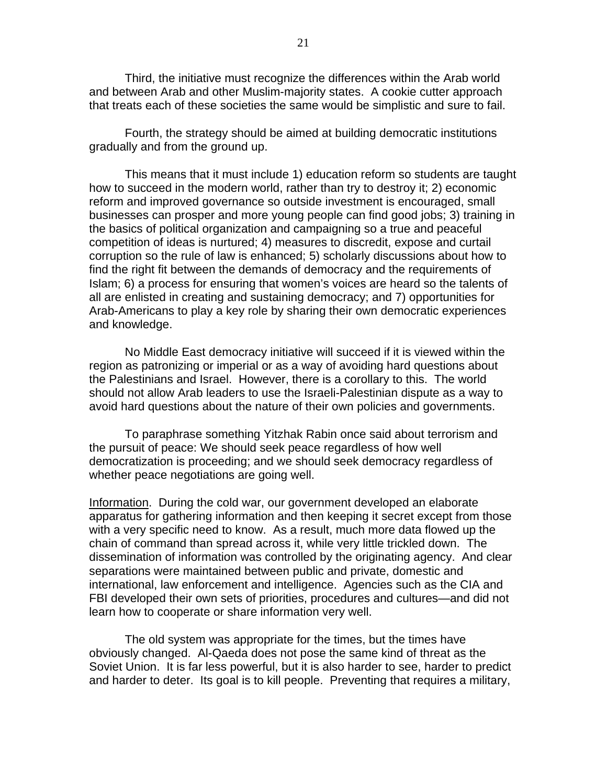Third, the initiative must recognize the differences within the Arab world and between Arab and other Muslim-majority states. A cookie cutter approach that treats each of these societies the same would be simplistic and sure to fail.

Fourth, the strategy should be aimed at building democratic institutions gradually and from the ground up.

This means that it must include 1) education reform so students are taught how to succeed in the modern world, rather than try to destroy it; 2) economic reform and improved governance so outside investment is encouraged, small businesses can prosper and more young people can find good jobs; 3) training in the basics of political organization and campaigning so a true and peaceful competition of ideas is nurtured; 4) measures to discredit, expose and curtail corruption so the rule of law is enhanced; 5) scholarly discussions about how to find the right fit between the demands of democracy and the requirements of Islam; 6) a process for ensuring that women's voices are heard so the talents of all are enlisted in creating and sustaining democracy; and 7) opportunities for Arab-Americans to play a key role by sharing their own democratic experiences and knowledge.

No Middle East democracy initiative will succeed if it is viewed within the region as patronizing or imperial or as a way of avoiding hard questions about the Palestinians and Israel. However, there is a corollary to this. The world should not allow Arab leaders to use the Israeli-Palestinian dispute as a way to avoid hard questions about the nature of their own policies and governments.

To paraphrase something Yitzhak Rabin once said about terrorism and the pursuit of peace: We should seek peace regardless of how well democratization is proceeding; and we should seek democracy regardless of whether peace negotiations are going well.

Information. During the cold war, our government developed an elaborate apparatus for gathering information and then keeping it secret except from those with a very specific need to know. As a result, much more data flowed up the chain of command than spread across it, while very little trickled down. The dissemination of information was controlled by the originating agency. And clear separations were maintained between public and private, domestic and international, law enforcement and intelligence. Agencies such as the CIA and FBI developed their own sets of priorities, procedures and cultures—and did not learn how to cooperate or share information very well.

The old system was appropriate for the times, but the times have obviously changed. Al-Qaeda does not pose the same kind of threat as the Soviet Union. It is far less powerful, but it is also harder to see, harder to predict and harder to deter. Its goal is to kill people. Preventing that requires a military,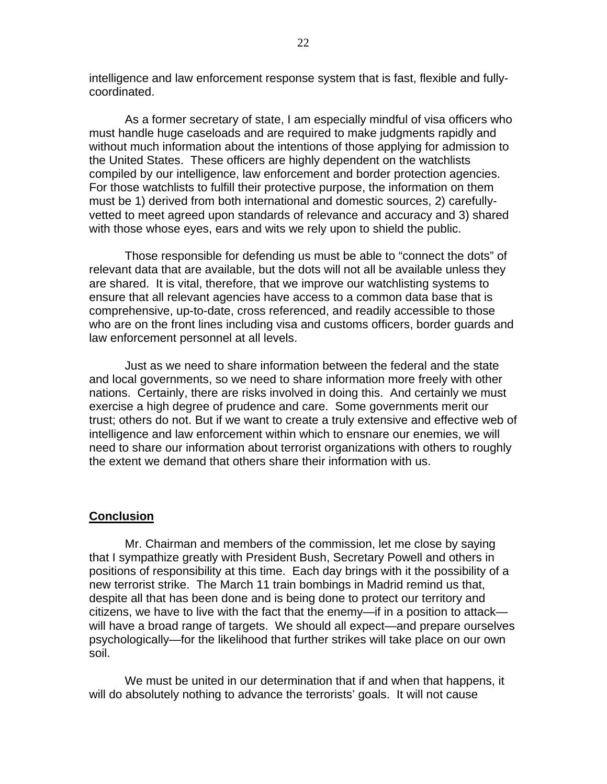intelligence and law enforcement response system that is fast, flexible and fullycoordinated.

As a former secretary of state, I am especially mindful of visa officers who must handle huge caseloads and are required to make judgments rapidly and without much information about the intentions of those applying for admission to the United States. These officers are highly dependent on the watchlists compiled by our intelligence, law enforcement and border protection agencies. For those watchlists to fulfill their protective purpose, the information on them must be 1) derived from both international and domestic sources, 2) carefullyvetted to meet agreed upon standards of relevance and accuracy and 3) shared with those whose eyes, ears and wits we rely upon to shield the public.

Those responsible for defending us must be able to "connect the dots" of relevant data that are available, but the dots will not all be available unless they are shared. It is vital, therefore, that we improve our watchlisting systems to ensure that all relevant agencies have access to a common data base that is comprehensive, up-to-date, cross referenced, and readily accessible to those who are on the front lines including visa and customs officers, border guards and law enforcement personnel at all levels.

Just as we need to share information between the federal and the state and local governments, so we need to share information more freely with other nations. Certainly, there are risks involved in doing this. And certainly we must exercise a high degree of prudence and care. Some governments merit our trust; others do not. But if we want to create a truly extensive and effective web of intelligence and law enforcement within which to ensnare our enemies, we will need to share our information about terrorist organizations with others to roughly the extent we demand that others share their information with us.

### **Conclusion**

Mr. Chairman and members of the commission, let me close by saying that I sympathize greatly with President Bush, Secretary Powell and others in positions of responsibility at this time. Each day brings with it the possibility of a new terrorist strike. The March 11 train bombings in Madrid remind us that, despite all that has been done and is being done to protect our territory and citizens, we have to live with the fact that the enemy—if in a position to attack will have a broad range of targets. We should all expect—and prepare ourselves psychologically—for the likelihood that further strikes will take place on our own soil.

We must be united in our determination that if and when that happens, it will do absolutely nothing to advance the terrorists' goals. It will not cause